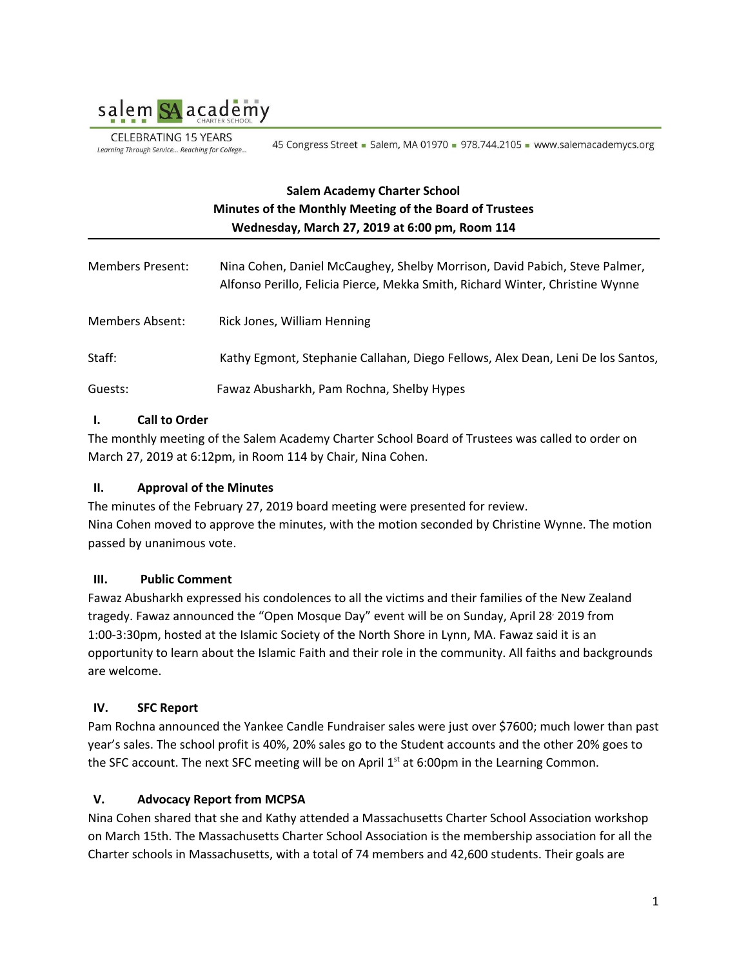

**CELEBRATING 15 YEARS** Learning Through Service... Reaching for College...

45 Congress Street - Salem, MA 01970 - 978.744.2105 - www.salemacademycs.org

# **Salem Academy Charter School Minutes of the Monthly Meeting of the Board of Trustees Wednesday, March 27, 2019 at 6:00 pm, Room 114**

| <b>Members Present:</b> | Nina Cohen, Daniel McCaughey, Shelby Morrison, David Pabich, Steve Palmer,<br>Alfonso Perillo, Felicia Pierce, Mekka Smith, Richard Winter, Christine Wynne |
|-------------------------|-------------------------------------------------------------------------------------------------------------------------------------------------------------|
| Members Absent:         | Rick Jones, William Henning                                                                                                                                 |
| Staff:                  | Kathy Egmont, Stephanie Callahan, Diego Fellows, Alex Dean, Leni De los Santos,                                                                             |
| Guests:                 | Fawaz Abusharkh, Pam Rochna, Shelby Hypes                                                                                                                   |

## **I. Call to Order**

The monthly meeting of the Salem Academy Charter School Board of Trustees was called to order on March 27, 2019 at 6:12pm, in Room 114 by Chair, Nina Cohen.

## **II. Approval of the Minutes**

The minutes of the February 27, 2019 board meeting were presented for review. Nina Cohen moved to approve the minutes, with the motion seconded by Christine Wynne. The motion passed by unanimous vote.

## **III. Public Comment**

Fawaz Abusharkh expressed his condolences to all the victims and their families of the New Zealand tragedy. Fawaz announced the "Open Mosque Day" event will be on Sunday, April 28 , 2019 from 1:00-3:30pm, hosted at the Islamic Society of the North Shore in Lynn, MA. Fawaz said it is an opportunity to learn about the Islamic Faith and their role in the community. All faiths and backgrounds are welcome.

## **IV. SFC Report**

Pam Rochna announced the Yankee Candle Fundraiser sales were just over \$7600; much lower than past year's sales. The school profit is 40%, 20% sales go to the Student accounts and the other 20% goes to the SFC account. The next SFC meeting will be on April  $1<sup>st</sup>$  at 6:00pm in the Learning Common.

## **V. Advocacy Report from MCPSA**

Nina Cohen shared that she and Kathy attended a Massachusetts Charter School Association workshop on March 15th. The Massachusetts Charter School Association is the membership association for all the Charter schools in Massachusetts, with a total of 74 members and 42,600 students. Their goals are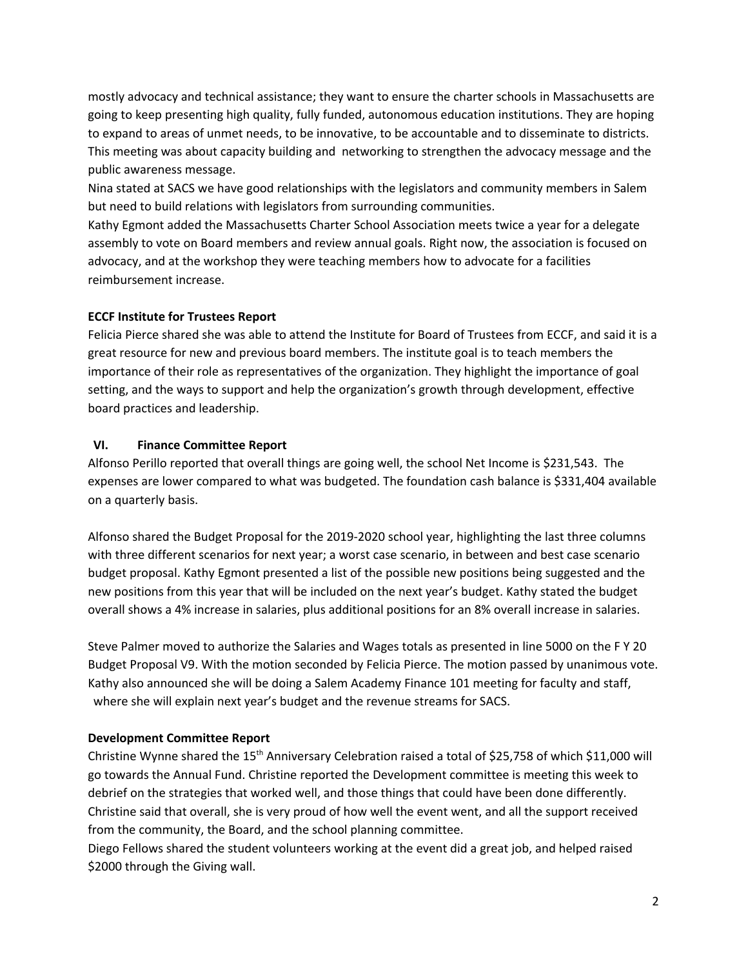mostly advocacy and technical assistance; they want to ensure the charter schools in Massachusetts are going to keep presenting high quality, fully funded, autonomous education institutions. They are hoping to expand to areas of unmet needs, to be innovative, to be accountable and to disseminate to districts. This meeting was about capacity building and networking to strengthen the advocacy message and the public awareness message.

Nina stated at SACS we have good relationships with the legislators and community members in Salem but need to build relations with legislators from surrounding communities.

Kathy Egmont added the Massachusetts Charter School Association meets twice a year for a delegate assembly to vote on Board members and review annual goals. Right now, the association is focused on advocacy, and at the workshop they were teaching members how to advocate for a facilities reimbursement increase.

#### **ECCF Institute for Trustees Report**

Felicia Pierce shared she was able to attend the Institute for Board of Trustees from ECCF, and said it is a great resource for new and previous board members. The institute goal is to teach members the importance of their role as representatives of the organization. They highlight the importance of goal setting, and the ways to support and help the organization's growth through development, effective board practices and leadership.

#### **VI. Finance Committee Report**

Alfonso Perillo reported that overall things are going well, the school Net Income is \$231,543. The expenses are lower compared to what was budgeted. The foundation cash balance is \$331,404 available on a quarterly basis.

Alfonso shared the Budget Proposal for the 2019-2020 school year, highlighting the last three columns with three different scenarios for next year; a worst case scenario, in between and best case scenario budget proposal. Kathy Egmont presented a list of the possible new positions being suggested and the new positions from this year that will be included on the next year's budget. Kathy stated the budget overall shows a 4% increase in salaries, plus additional positions for an 8% overall increase in salaries.

Steve Palmer moved to authorize the Salaries and Wages totals as presented in line 5000 on the F Y 20 Budget Proposal V9. With the motion seconded by Felicia Pierce. The motion passed by unanimous vote. Kathy also announced she will be doing a Salem Academy Finance 101 meeting for faculty and staff, where she will explain next year's budget and the revenue streams for SACS.

#### **Development Committee Report**

Christine Wynne shared the 15<sup>th</sup> Anniversary Celebration raised a total of \$25,758 of which \$11,000 will go towards the Annual Fund. Christine reported the Development committee is meeting this week to debrief on the strategies that worked well, and those things that could have been done differently. Christine said that overall, she is very proud of how well the event went, and all the support received from the community, the Board, and the school planning committee.

Diego Fellows shared the student volunteers working at the event did a great job, and helped raised \$2000 through the Giving wall.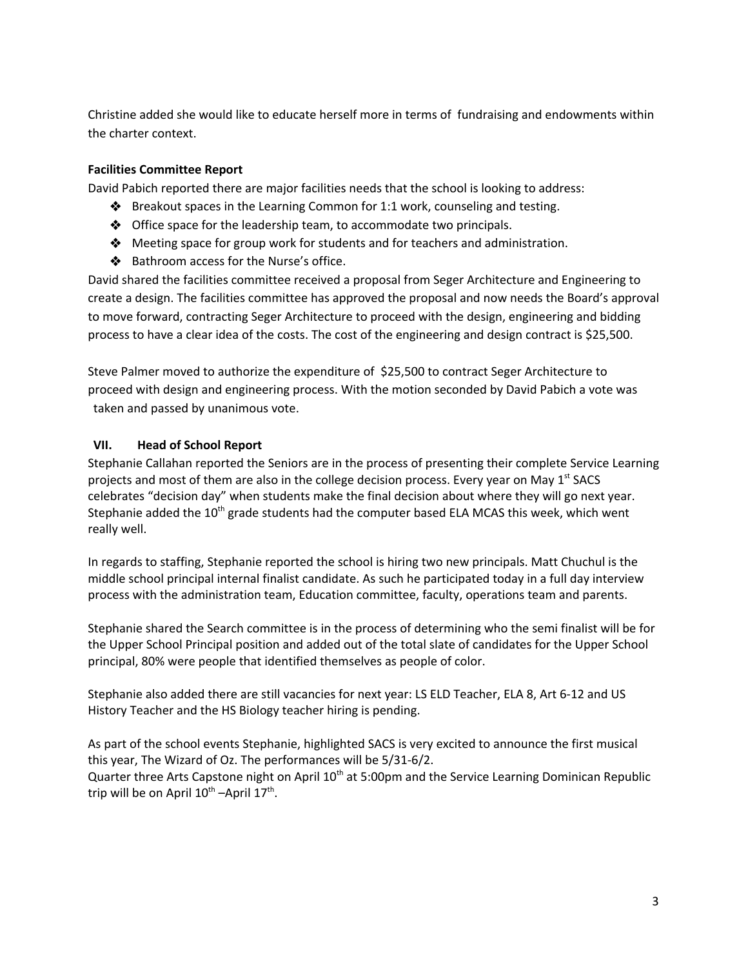Christine added she would like to educate herself more in terms of fundraising and endowments within the charter context.

### **Facilities Committee Report**

David Pabich reported there are major facilities needs that the school is looking to address:

- ❖ Breakout spaces in the Learning Common for 1:1 work, counseling and testing.
- ❖ Office space for the leadership team, to accommodate two principals.
- ❖ Meeting space for group work for students and for teachers and administration.
- ❖ Bathroom access for the Nurse's office.

David shared the facilities committee received a proposal from Seger Architecture and Engineering to create a design. The facilities committee has approved the proposal and now needs the Board's approval to move forward, contracting Seger Architecture to proceed with the design, engineering and bidding process to have a clear idea of the costs. The cost of the engineering and design contract is \$25,500.

Steve Palmer moved to authorize the expenditure of \$25,500 to contract Seger Architecture to proceed with design and engineering process. With the motion seconded by David Pabich a vote was taken and passed by unanimous vote.

#### **VII. Head of School Report**

Stephanie Callahan reported the Seniors are in the process of presenting their complete Service Learning projects and most of them are also in the college decision process. Every year on May 1<sup>st</sup> SACS celebrates "decision day" when students make the final decision about where they will go next year. Stephanie added the 10<sup>th</sup> grade students had the computer based ELA MCAS this week, which went really well.

In regards to staffing, Stephanie reported the school is hiring two new principals. Matt Chuchul is the middle school principal internal finalist candidate. As such he participated today in a full day interview process with the administration team, Education committee, faculty, operations team and parents.

Stephanie shared the Search committee is in the process of determining who the semi finalist will be for the Upper School Principal position and added out of the total slate of candidates for the Upper School principal, 80% were people that identified themselves as people of color.

Stephanie also added there are still vacancies for next year: LS ELD Teacher, ELA 8, Art 6-12 and US History Teacher and the HS Biology teacher hiring is pending.

As part of the school events Stephanie, highlighted SACS is very excited to announce the first musical this year, The Wizard of Oz. The performances will be 5/31-6/2. Quarter three Arts Capstone night on April 10<sup>th</sup> at 5:00pm and the Service Learning Dominican Republic trip will be on April  $10^{\text{th}}$  –April  $17^{\text{th}}$ .